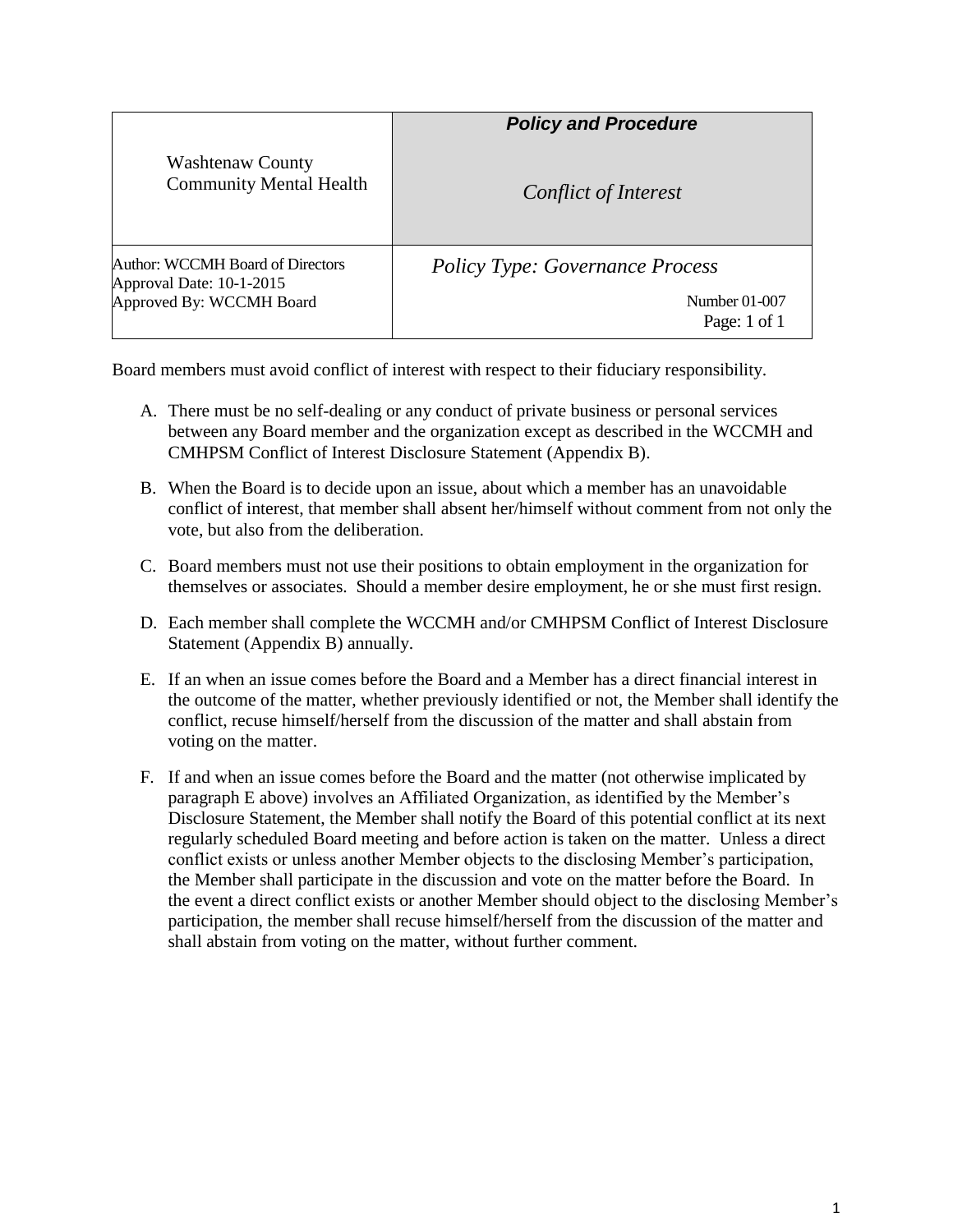|                                                                                          | <b>Policy and Procedure</b>            |
|------------------------------------------------------------------------------------------|----------------------------------------|
| <b>Washtenaw County</b><br><b>Community Mental Health</b>                                | Conflict of Interest                   |
| Author: WCCMH Board of Directors<br>Approval Date: 10-1-2015<br>Approved By: WCCMH Board | <b>Policy Type: Governance Process</b> |
|                                                                                          | Number 01-007<br>Page: 1 of 1          |

Board members must avoid conflict of interest with respect to their fiduciary responsibility.

- A. There must be no self-dealing or any conduct of private business or personal services between any Board member and the organization except as described in the WCCMH and CMHPSM Conflict of Interest Disclosure Statement (Appendix B).
- B. When the Board is to decide upon an issue, about which a member has an unavoidable conflict of interest, that member shall absent her/himself without comment from not only the vote, but also from the deliberation.
- C. Board members must not use their positions to obtain employment in the organization for themselves or associates. Should a member desire employment, he or she must first resign.
- D. Each member shall complete the WCCMH and/or CMHPSM Conflict of Interest Disclosure Statement (Appendix B) annually.
- E. If an when an issue comes before the Board and a Member has a direct financial interest in the outcome of the matter, whether previously identified or not, the Member shall identify the conflict, recuse himself/herself from the discussion of the matter and shall abstain from voting on the matter.
- F. If and when an issue comes before the Board and the matter (not otherwise implicated by paragraph E above) involves an Affiliated Organization, as identified by the Member's Disclosure Statement, the Member shall notify the Board of this potential conflict at its next regularly scheduled Board meeting and before action is taken on the matter. Unless a direct conflict exists or unless another Member objects to the disclosing Member's participation, the Member shall participate in the discussion and vote on the matter before the Board. In the event a direct conflict exists or another Member should object to the disclosing Member's participation, the member shall recuse himself/herself from the discussion of the matter and shall abstain from voting on the matter, without further comment.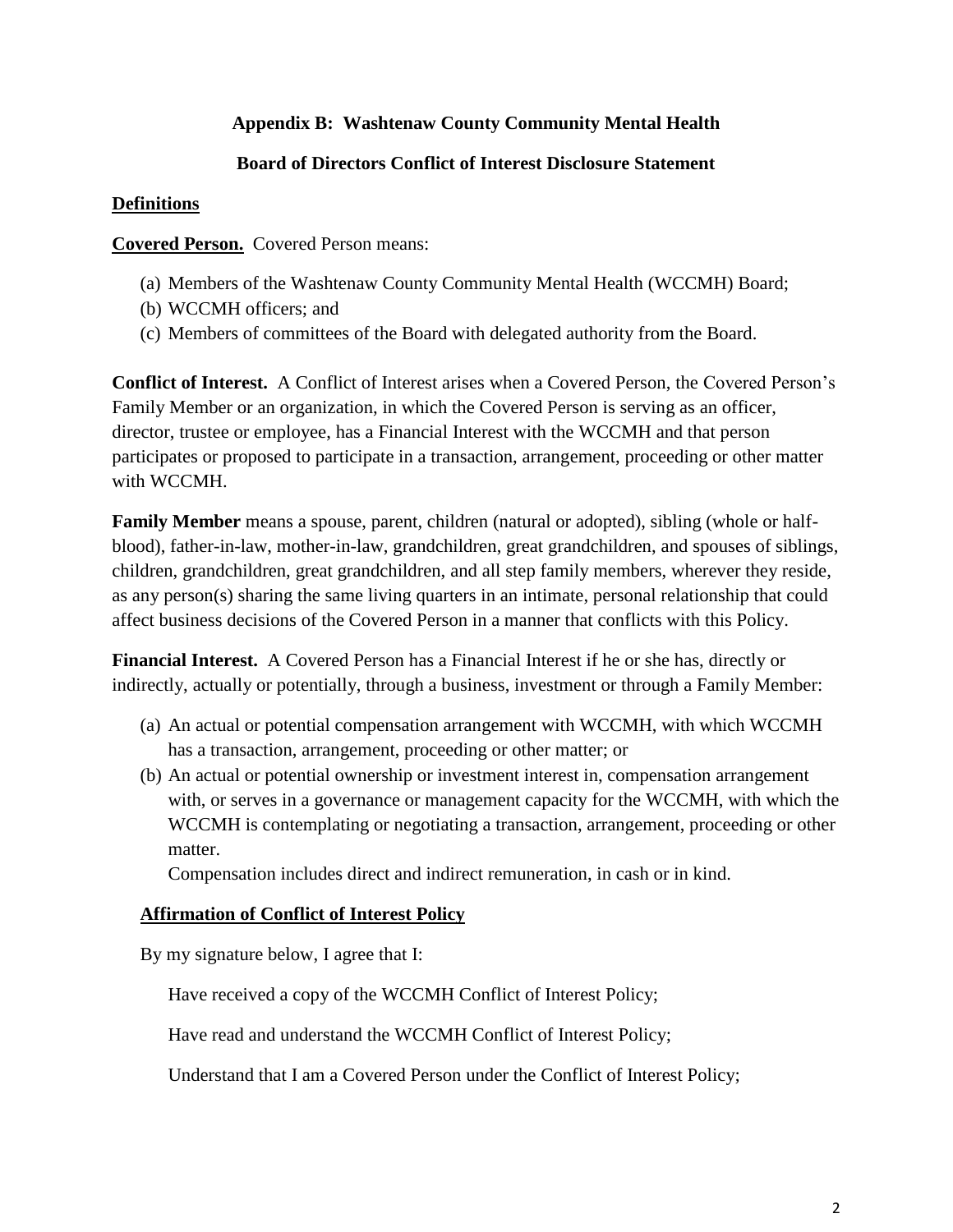# **Appendix B: Washtenaw County Community Mental Health**

## **Board of Directors Conflict of Interest Disclosure Statement**

## **Definitions**

**Covered Person.** Covered Person means:

- (a) Members of the Washtenaw County Community Mental Health (WCCMH) Board;
- (b) WCCMH officers; and
- (c) Members of committees of the Board with delegated authority from the Board.

**Conflict of Interest.** A Conflict of Interest arises when a Covered Person, the Covered Person's Family Member or an organization, in which the Covered Person is serving as an officer, director, trustee or employee, has a Financial Interest with the WCCMH and that person participates or proposed to participate in a transaction, arrangement, proceeding or other matter with WCCMH.

**Family Member** means a spouse, parent, children (natural or adopted), sibling (whole or halfblood), father-in-law, mother-in-law, grandchildren, great grandchildren, and spouses of siblings, children, grandchildren, great grandchildren, and all step family members, wherever they reside, as any person(s) sharing the same living quarters in an intimate, personal relationship that could affect business decisions of the Covered Person in a manner that conflicts with this Policy.

**Financial Interest.** A Covered Person has a Financial Interest if he or she has, directly or indirectly, actually or potentially, through a business, investment or through a Family Member:

- (a) An actual or potential compensation arrangement with WCCMH, with which WCCMH has a transaction, arrangement, proceeding or other matter; or
- (b) An actual or potential ownership or investment interest in, compensation arrangement with, or serves in a governance or management capacity for the WCCMH, with which the WCCMH is contemplating or negotiating a transaction, arrangement, proceeding or other matter.

Compensation includes direct and indirect remuneration, in cash or in kind.

# **Affirmation of Conflict of Interest Policy**

By my signature below, I agree that I:

Have received a copy of the WCCMH Conflict of Interest Policy;

Have read and understand the WCCMH Conflict of Interest Policy;

Understand that I am a Covered Person under the Conflict of Interest Policy;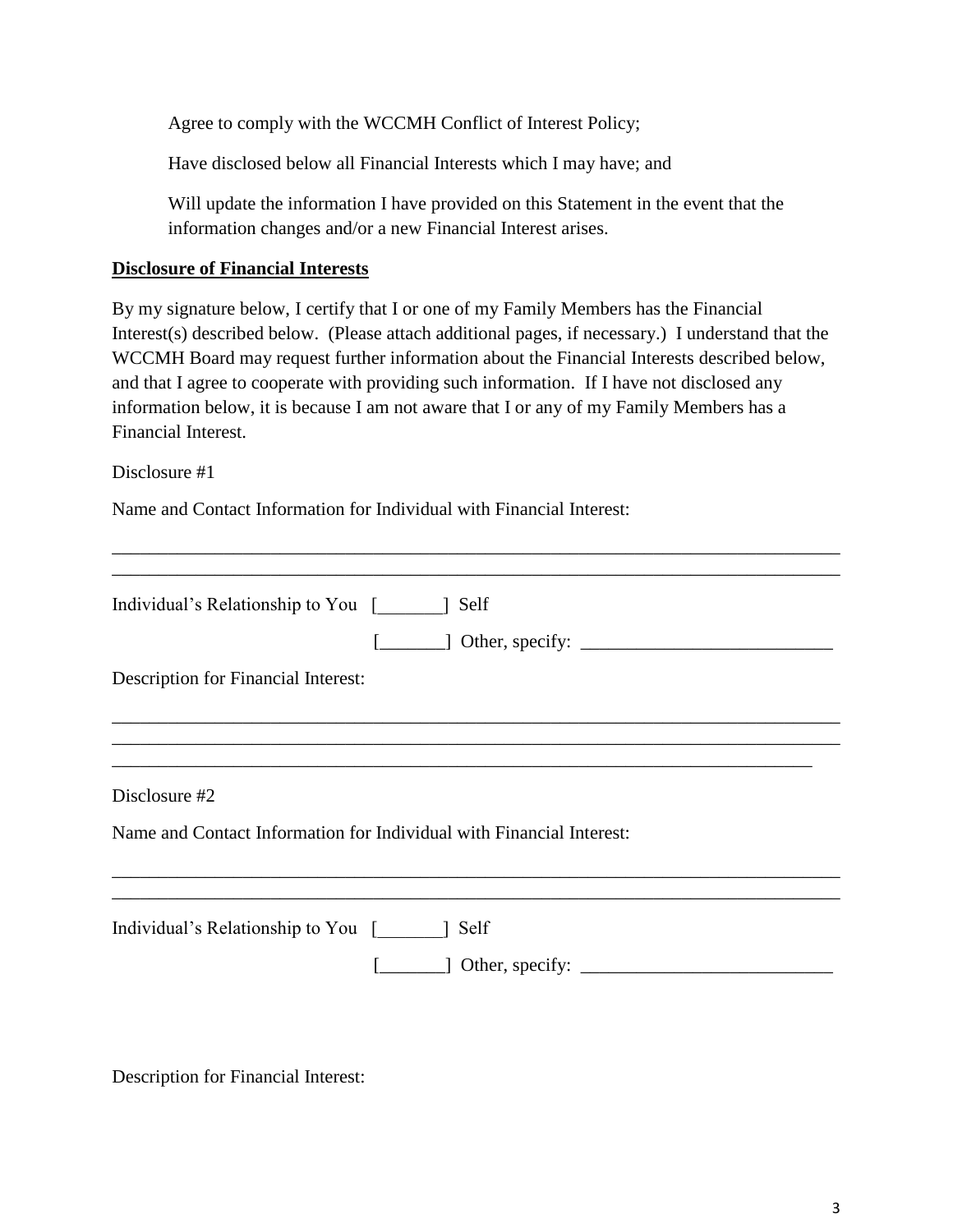Agree to comply with the WCCMH Conflict of Interest Policy;

Have disclosed below all Financial Interests which I may have; and

Will update the information I have provided on this Statement in the event that the information changes and/or a new Financial Interest arises.

### **Disclosure of Financial Interests**

By my signature below, I certify that I or one of my Family Members has the Financial Interest(s) described below. (Please attach additional pages, if necessary.) I understand that the WCCMH Board may request further information about the Financial Interests described below, and that I agree to cooperate with providing such information. If I have not disclosed any information below, it is because I am not aware that I or any of my Family Members has a Financial Interest.

\_\_\_\_\_\_\_\_\_\_\_\_\_\_\_\_\_\_\_\_\_\_\_\_\_\_\_\_\_\_\_\_\_\_\_\_\_\_\_\_\_\_\_\_\_\_\_\_\_\_\_\_\_\_\_\_\_\_\_\_\_\_\_\_\_\_\_\_\_\_\_\_\_\_\_\_\_\_

Disclosure #1

Name and Contact Information for Individual with Financial Interest:

| Individual's Relationship to You [ ] Self                            |
|----------------------------------------------------------------------|
| $\Box$ Other, specify: $\Box$                                        |
| Description for Financial Interest:                                  |
|                                                                      |
|                                                                      |
| Disclosure #2                                                        |
| Name and Contact Information for Individual with Financial Interest: |
|                                                                      |
| Individual's Relationship to You<br>1 Self                           |
| $\Box$ Other, specify: $\Box$                                        |

Description for Financial Interest: